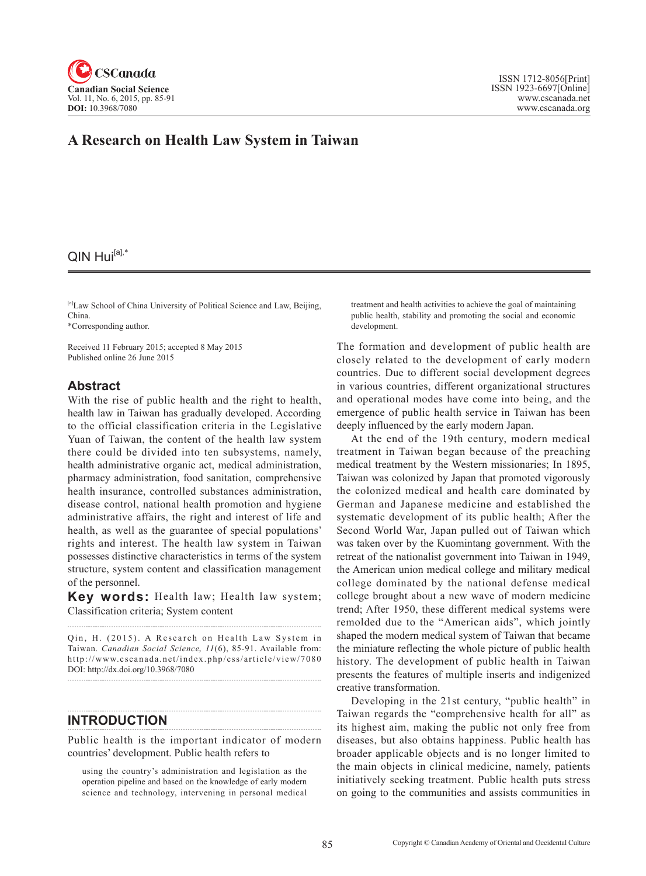

# **A Research on Health Law System in Taiwan**

## $QIN$  Hui $[a]$ ,\*

[a]Law School of China University of Political Science and Law, Beijing, China.

\*Corresponding author.

Received 11 February 2015; accepted 8 May 2015 Published online 26 June 2015

## **Abstract**

With the rise of public health and the right to health, health law in Taiwan has gradually developed. According to the official classification criteria in the Legislative Yuan of Taiwan, the content of the health law system there could be divided into ten subsystems, namely, health administrative organic act, medical administration, pharmacy administration, food sanitation, comprehensive health insurance, controlled substances administration, disease control, national health promotion and hygiene administrative affairs, the right and interest of life and health, as well as the guarantee of special populations' rights and interest. The health law system in Taiwan possesses distinctive characteristics in terms of the system structure, system content and classification management of the personnel.

**Key words:** Health law; Health law system; Classification criteria; System content

Qin, H. (2015). A Research on Health Law System in Taiwan. *Canadian Social Science*, 11(6), 85-91. Available from: http://www.cscanada.net/index.php/css/article/view/7080 DOI: http://dx.doi.org/10.3968/7080

#### **INTRODUCTION**

Public health is the important indicator of modern countries' development. Public health refers to

using the country's administration and legislation as the operation pipeline and based on the knowledge of early modern science and technology, intervening in personal medical treatment and health activities to achieve the goal of maintaining public health, stability and promoting the social and economic development.

The formation and development of public health are closely related to the development of early modern countries. Due to different social development degrees in various countries, different organizational structures and operational modes have come into being, and the emergence of public health service in Taiwan has been deeply influenced by the early modern Japan.

At the end of the 19th century, modern medical treatment in Taiwan began because of the preaching medical treatment by the Western missionaries; In 1895, Taiwan was colonized by Japan that promoted vigorously the colonized medical and health care dominated by German and Japanese medicine and established the systematic development of its public health; After the Second World War, Japan pulled out of Taiwan which was taken over by the Kuomintang government. With the retreat of the nationalist government into Taiwan in 1949, the American union medical college and military medical college dominated by the national defense medical college brought about a new wave of modern medicine trend; After 1950, these different medical systems were remolded due to the "American aids", which jointly shaped the modern medical system of Taiwan that became the miniature reflecting the whole picture of public health history. The development of public health in Taiwan presents the features of multiple inserts and indigenized creative transformation.

Developing in the 21st century, "public health" in Taiwan regards the "comprehensive health for all" as its highest aim, making the public not only free from diseases, but also obtains happiness. Public health has broader applicable objects and is no longer limited to the main objects in clinical medicine, namely, patients initiatively seeking treatment. Public health puts stress on going to the communities and assists communities in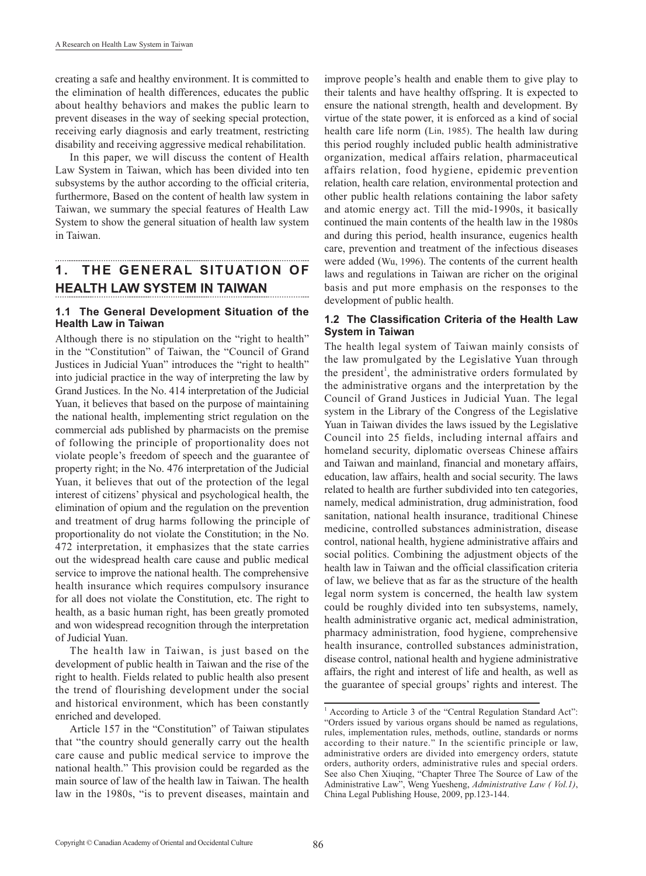creating a safe and healthy environment. It is committed to the elimination of health differences, educates the public about healthy behaviors and makes the public learn to prevent diseases in the way of seeking special protection, receiving early diagnosis and early treatment, restricting disability and receiving aggressive medical rehabilitation.

In this paper, we will discuss the content of Health Law System in Taiwan, which has been divided into ten subsystems by the author according to the official criteria, furthermore, Based on the content of health law system in Taiwan, we summary the special features of Health Law System to show the general situation of health law system in Taiwan.

# **1. THE GENERAL SITUATION OF HEALTH LAW SYSTEM IN TAIWAN**

### **1.1 The General Development Situation of the Health Law in Taiwan**

Although there is no stipulation on the "right to health" in the "Constitution" of Taiwan, the "Council of Grand Justices in Judicial Yuan" introduces the "right to health" into judicial practice in the way of interpreting the law by Grand Justices. In the No. 414 interpretation of the Judicial Yuan, it believes that based on the purpose of maintaining the national health, implementing strict regulation on the commercial ads published by pharmacists on the premise of following the principle of proportionality does not violate people's freedom of speech and the guarantee of property right; in the No. 476 interpretation of the Judicial Yuan, it believes that out of the protection of the legal interest of citizens' physical and psychological health, the elimination of opium and the regulation on the prevention and treatment of drug harms following the principle of proportionality do not violate the Constitution; in the No. 472 interpretation, it emphasizes that the state carries out the widespread health care cause and public medical service to improve the national health. The comprehensive health insurance which requires compulsory insurance for all does not violate the Constitution, etc. The right to health, as a basic human right, has been greatly promoted and won widespread recognition through the interpretation of Judicial Yuan.

The health law in Taiwan, is just based on the development of public health in Taiwan and the rise of the right to health. Fields related to public health also present the trend of flourishing development under the social and historical environment, which has been constantly enriched and developed.

Article 157 in the "Constitution" of Taiwan stipulates that "the country should generally carry out the health care cause and public medical service to improve the national health." This provision could be regarded as the main source of law of the health law in Taiwan. The health law in the 1980s, "is to prevent diseases, maintain and

improve people's health and enable them to give play to their talents and have healthy offspring. It is expected to ensure the national strength, health and development. By virtue of the state power, it is enforced as a kind of social health care life norm (Lin, 1985). The health law during this period roughly included public health administrative organization, medical affairs relation, pharmaceutical affairs relation, food hygiene, epidemic prevention relation, health care relation, environmental protection and other public health relations containing the labor safety and atomic energy act. Till the mid-1990s, it basically continued the main contents of the health law in the 1980s and during this period, health insurance, eugenics health care, prevention and treatment of the infectious diseases were added (Wu, 1996). The contents of the current health laws and regulations in Taiwan are richer on the original basis and put more emphasis on the responses to the development of public health.

## **1.2 The Classification Criteria of the Health Law System in Taiwan**

The health legal system of Taiwan mainly consists of the law promulgated by the Legislative Yuan through the president<sup>1</sup>, the administrative orders formulated by the administrative organs and the interpretation by the Council of Grand Justices in Judicial Yuan. The legal system in the Library of the Congress of the Legislative Yuan in Taiwan divides the laws issued by the Legislative Council into 25 fields, including internal affairs and homeland security, diplomatic overseas Chinese affairs and Taiwan and mainland, financial and monetary affairs, education, law affairs, health and social security. The laws related to health are further subdivided into ten categories, namely, medical administration, drug administration, food sanitation, national health insurance, traditional Chinese medicine, controlled substances administration, disease control, national health, hygiene administrative affairs and social politics. Combining the adjustment objects of the health law in Taiwan and the official classification criteria of law, we believe that as far as the structure of the health legal norm system is concerned, the health law system could be roughly divided into ten subsystems, namely, health administrative organic act, medical administration, pharmacy administration, food hygiene, comprehensive health insurance, controlled substances administration, disease control, national health and hygiene administrative affairs, the right and interest of life and health, as well as the guarantee of special groups' rights and interest. The

<sup>&</sup>lt;sup>1</sup> According to Article 3 of the "Central Regulation Standard Act": "Orders issued by various organs should be named as regulations, rules, implementation rules, methods, outline, standards or norms according to their nature." In the scientific principle or law, administrative orders are divided into emergency orders, statute orders, authority orders, administrative rules and special orders. See also Chen Xiuqing, "Chapter Three The Source of Law of the Administrative Law", Weng Yuesheng, *Administrative Law ( Vol.1)*, China Legal Publishing House, 2009, pp.123-144.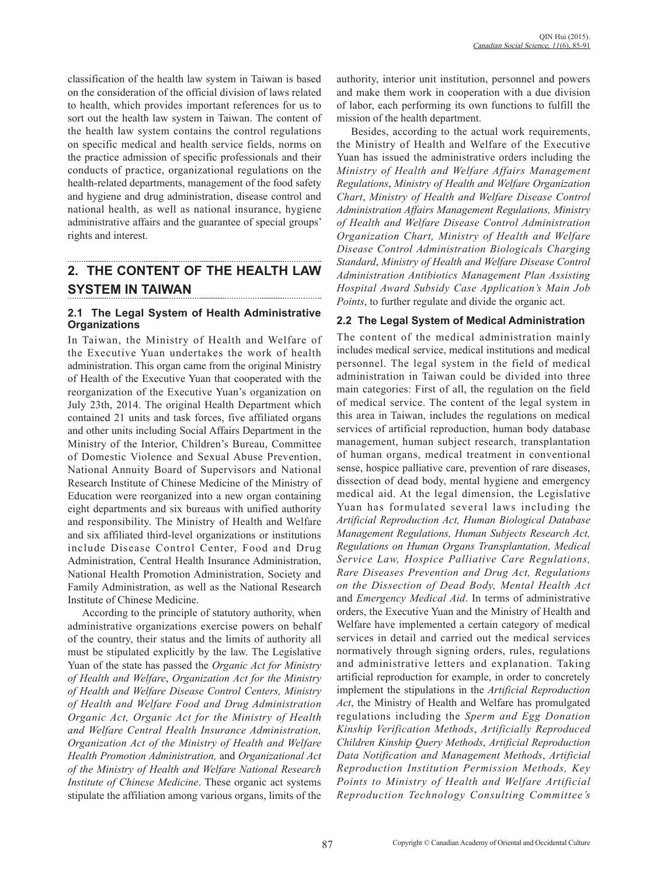classification of the health law system in Taiwan is based on the consideration of the official division of laws related to health, which provides important references for us to sort out the health law system in Taiwan. The content of the health law system contains the control regulations on specific medical and health service fields, norms on the practice admission of specific professionals and their conducts of practice, organizational regulations on the health-related departments, management of the food safety and hygiene and drug administration, disease control and national health, as well as national insurance, hygiene administrative affairs and the guarantee of special groups' rights and interest.

# **2. THE CONTENT OF THE HEALTH LAW SYSTEM IN TAIWAN**

## **2.1 The Legal System of Health Administrative Organizations**

In Taiwan, the Ministry of Health and Welfare of the Executive Yuan undertakes the work of health administration. This organ came from the original Ministry of Health of the Executive Yuan that cooperated with the reorganization of the Executive Yuan's organization on July 23th, 2014. The original Health Department which contained 21 units and task forces, five affiliated organs and other units including Social Affairs Department in the Ministry of the Interior, Children's Bureau, Committee of Domestic Violence and Sexual Abuse Prevention, National Annuity Board of Supervisors and National Research Institute of Chinese Medicine of the Ministry of Education were reorganized into a new organ containing eight departments and six bureaus with unified authority and responsibility. The Ministry of Health and Welfare and six affiliated third-level organizations or institutions include Disease Control Center, Food and Drug Administration, Central Health Insurance Administration, National Health Promotion Administration, Society and Family Administration, as well as the National Research Institute of Chinese Medicine.

According to the principle of statutory authority, when administrative organizations exercise powers on behalf of the country, their status and the limits of authority all must be stipulated explicitly by the law. The Legislative Yuan of the state has passed the *Organic Act for Ministry of Health and Welfare*, *Organization Act for the Ministry of Health and Welfare Disease Control Centers, Ministry of Health and Welfare Food and Drug Administration Organic Act, Organic Act for the Ministry of Health and Welfare Central Health Insurance Administration, Organization Act of the Ministry of Health and Welfare Health Promotion Administration,* and *Organizational Act of the Ministry of Health and Welfare National Research Institute of Chinese Medicine*. These organic act systems stipulate the affiliation among various organs, limits of the authority, interior unit institution, personnel and powers and make them work in cooperation with a due division of labor, each performing its own functions to fulfill the mission of the health department.

Besides, according to the actual work requirements, the Ministry of Health and Welfare of the Executive Yuan has issued the administrative orders including the *Ministry of Health and Welfare Affairs Management Regulations*, *Ministry of Health and Welfare Organization Chart*, *Ministry of Health and Welfare Disease Control Administration Affairs Management Regulations, Ministry of Health and Welfare Disease Control Administration Organization Chart, Ministry of Health and Welfare Disease Control Administration Biologicals Charging Standard*, *Ministry of Health and Welfare Disease Control Administration Antibiotics Management Plan Assisting Hospital Award Subsidy Case Application's Main Job Points*, to further regulate and divide the organic act.

## **2.2 The Legal System of Medical Administration**

The content of the medical administration mainly includes medical service, medical institutions and medical personnel. The legal system in the field of medical administration in Taiwan could be divided into three main categories: First of all, the regulation on the field of medical service. The content of the legal system in this area in Taiwan, includes the regulations on medical services of artificial reproduction, human body database management, human subject research, transplantation of human organs, medical treatment in conventional sense, hospice palliative care, prevention of rare diseases, dissection of dead body, mental hygiene and emergency medical aid. At the legal dimension, the Legislative Yuan has formulated several laws including the *Artificial Reproduction Act, Human Biological Database Management Regulations, Human Subjects Research Act, Regulations on Human Organs Transplantation, Medical Service Law, Hospice Palliative Care Regulations, Rare Diseases Prevention and Drug Act, Regulations on the Dissection of Dead Body, Mental Health Act*  and *Emergency Medical Aid*. In terms of administrative orders, the Executive Yuan and the Ministry of Health and Welfare have implemented a certain category of medical services in detail and carried out the medical services normatively through signing orders, rules, regulations and administrative letters and explanation. Taking artificial reproduction for example, in order to concretely implement the stipulations in the *Artificial Reproduction Act*, the Ministry of Health and Welfare has promulgated regulations including the *Sperm and Egg Donation Kinship Verification Methods*, *Artificially Reproduced Children Kinship Query Methods*, *Artificial Reproduction Data Notification and Management Methods*, *Artificial Reproduction Institution Permission Methods, Key Points to Ministry of Health and Welfare Artificial Reproduction Technology Consulting Committee's*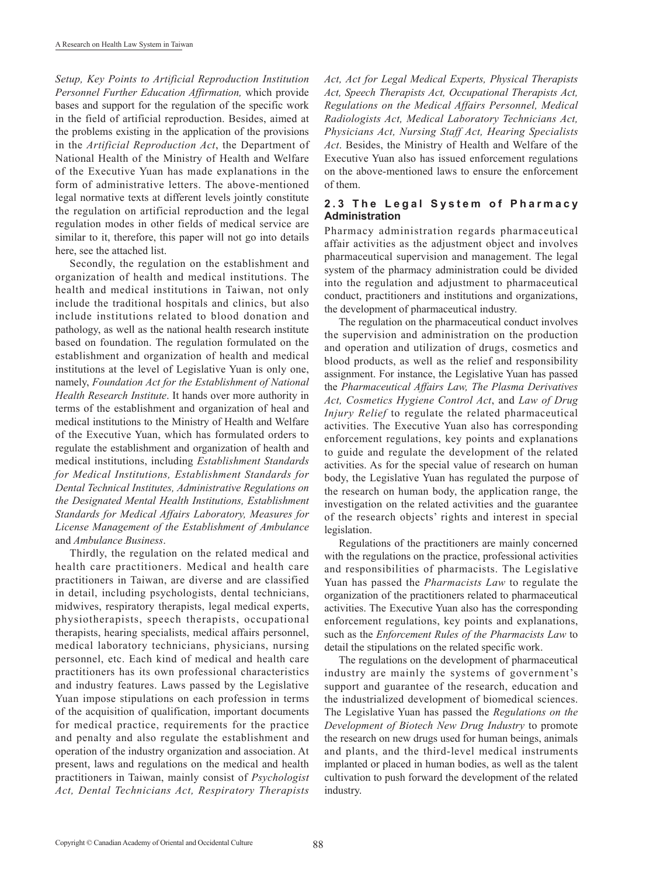*Setup, Key Points to Artificial Reproduction Institution Personnel Further Education Affirmation,* which provide bases and support for the regulation of the specific work in the field of artificial reproduction. Besides, aimed at the problems existing in the application of the provisions in the *Artificial Reproduction Act*, the Department of National Health of the Ministry of Health and Welfare of the Executive Yuan has made explanations in the form of administrative letters. The above-mentioned legal normative texts at different levels jointly constitute the regulation on artificial reproduction and the legal regulation modes in other fields of medical service are similar to it, therefore, this paper will not go into details here, see the attached list.

Secondly, the regulation on the establishment and organization of health and medical institutions. The health and medical institutions in Taiwan, not only include the traditional hospitals and clinics, but also include institutions related to blood donation and pathology, as well as the national health research institute based on foundation. The regulation formulated on the establishment and organization of health and medical institutions at the level of Legislative Yuan is only one, namely, *Foundation Act for the Establishment of National Health Research Institute*. It hands over more authority in terms of the establishment and organization of heal and medical institutions to the Ministry of Health and Welfare of the Executive Yuan, which has formulated orders to regulate the establishment and organization of health and medical institutions, including *Establishment Standards for Medical Institutions, Establishment Standards for Dental Technical Institutes, Administrative Regulations on the Designated Mental Health Institutions, Establishment Standards for Medical Affairs Laboratory, Measures for License Management of the Establishment of Ambulance*  and *Ambulance Business*.

Thirdly, the regulation on the related medical and health care practitioners. Medical and health care practitioners in Taiwan, are diverse and are classified in detail, including psychologists, dental technicians, midwives, respiratory therapists, legal medical experts, physiotherapists, speech therapists, occupational therapists, hearing specialists, medical affairs personnel, medical laboratory technicians, physicians, nursing personnel, etc. Each kind of medical and health care practitioners has its own professional characteristics and industry features. Laws passed by the Legislative Yuan impose stipulations on each profession in terms of the acquisition of qualification, important documents for medical practice, requirements for the practice and penalty and also regulate the establishment and operation of the industry organization and association. At present, laws and regulations on the medical and health practitioners in Taiwan, mainly consist of *Psychologist Act, Dental Technicians Act, Respiratory Therapists*  *Act, Act for Legal Medical Experts, Physical Therapists Act, Speech Therapists Act, Occupational Therapists Act, Regulations on the Medical Affairs Personnel, Medical Radiologists Act, Medical Laboratory Technicians Act, Physicians Act, Nursing Staff Act, Hearing Specialists Act*. Besides, the Ministry of Health and Welfare of the Executive Yuan also has issued enforcement regulations on the above-mentioned laws to ensure the enforcement of them.

#### 2.3 The Legal System of Pharmacy **Administration**

Pharmacy administration regards pharmaceutical affair activities as the adjustment object and involves pharmaceutical supervision and management. The legal system of the pharmacy administration could be divided into the regulation and adjustment to pharmaceutical conduct, practitioners and institutions and organizations, the development of pharmaceutical industry.

The regulation on the pharmaceutical conduct involves the supervision and administration on the production and operation and utilization of drugs, cosmetics and blood products, as well as the relief and responsibility assignment. For instance, the Legislative Yuan has passed the *Pharmaceutical Affairs Law, The Plasma Derivatives Act, Cosmetics Hygiene Control Act*, and *Law of Drug Injury Relief* to regulate the related pharmaceutical activities. The Executive Yuan also has corresponding enforcement regulations, key points and explanations to guide and regulate the development of the related activities. As for the special value of research on human body, the Legislative Yuan has regulated the purpose of the research on human body, the application range, the investigation on the related activities and the guarantee of the research objects' rights and interest in special legislation.

Regulations of the practitioners are mainly concerned with the regulations on the practice, professional activities and responsibilities of pharmacists. The Legislative Yuan has passed the *Pharmacists Law* to regulate the organization of the practitioners related to pharmaceutical activities. The Executive Yuan also has the corresponding enforcement regulations, key points and explanations, such as the *Enforcement Rules of the Pharmacists Law* to detail the stipulations on the related specific work.

The regulations on the development of pharmaceutical industry are mainly the systems of government's support and guarantee of the research, education and the industrialized development of biomedical sciences. The Legislative Yuan has passed the *Regulations on the Development of Biotech New Drug Industry* to promote the research on new drugs used for human beings, animals and plants, and the third-level medical instruments implanted or placed in human bodies, as well as the talent cultivation to push forward the development of the related industry.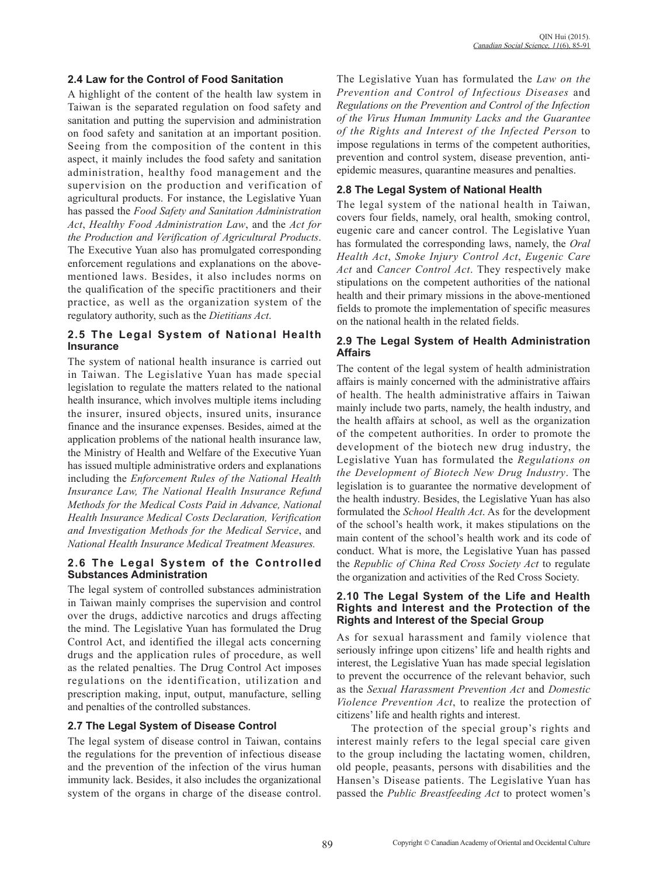### **2.4 Law for the Control of Food Sanitation**

A highlight of the content of the health law system in Taiwan is the separated regulation on food safety and sanitation and putting the supervision and administration on food safety and sanitation at an important position. Seeing from the composition of the content in this aspect, it mainly includes the food safety and sanitation administration, healthy food management and the supervision on the production and verification of agricultural products. For instance, the Legislative Yuan has passed the *Food Safety and Sanitation Administration Act*, *Healthy Food Administration Law*, and the *Act for the Production and Verification of Agricultural Products*. The Executive Yuan also has promulgated corresponding enforcement regulations and explanations on the abovementioned laws. Besides, it also includes norms on the qualification of the specific practitioners and their practice, as well as the organization system of the regulatory authority, such as the *Dietitians Act*.

## **2.5 The Legal System of National Health Insurance**

The system of national health insurance is carried out in Taiwan. The Legislative Yuan has made special legislation to regulate the matters related to the national health insurance, which involves multiple items including the insurer, insured objects, insured units, insurance finance and the insurance expenses. Besides, aimed at the application problems of the national health insurance law, the Ministry of Health and Welfare of the Executive Yuan has issued multiple administrative orders and explanations including the *Enforcement Rules of the National Health Insurance Law, The National Health Insurance Refund Methods for the Medical Costs Paid in Advance, National Health Insurance Medical Costs Declaration, Verification and Investigation Methods for the Medical Service*, and *National Health Insurance Medical Treatment Measures.*

#### **2.6 The Legal System of the Controlled Substances Administration**

The legal system of controlled substances administration in Taiwan mainly comprises the supervision and control over the drugs, addictive narcotics and drugs affecting the mind. The Legislative Yuan has formulated the Drug Control Act, and identified the illegal acts concerning drugs and the application rules of procedure, as well as the related penalties. The Drug Control Act imposes regulations on the identification, utilization and prescription making, input, output, manufacture, selling and penalties of the controlled substances.

## **2.7 The Legal System of Disease Control**

The legal system of disease control in Taiwan, contains the regulations for the prevention of infectious disease and the prevention of the infection of the virus human immunity lack. Besides, it also includes the organizational system of the organs in charge of the disease control.

The Legislative Yuan has formulated the *Law on the Prevention and Control of Infectious Diseases* and *Regulations on the Prevention and Control of the Infection of the Virus Human Immunity Lacks and the Guarantee of the Rights and Interest of the Infected Person* to impose regulations in terms of the competent authorities, prevention and control system, disease prevention, antiepidemic measures, quarantine measures and penalties.

## **2.8 The Legal System of National Health**

The legal system of the national health in Taiwan, covers four fields, namely, oral health, smoking control, eugenic care and cancer control. The Legislative Yuan has formulated the corresponding laws, namely, the *Oral Health Act*, *Smoke Injury Control Act*, *Eugenic Care Act* and *Cancer Control Act*. They respectively make stipulations on the competent authorities of the national health and their primary missions in the above-mentioned fields to promote the implementation of specific measures on the national health in the related fields.

## **2.9 The Legal System of Health Administration Affairs**

The content of the legal system of health administration affairs is mainly concerned with the administrative affairs of health. The health administrative affairs in Taiwan mainly include two parts, namely, the health industry, and the health affairs at school, as well as the organization of the competent authorities. In order to promote the development of the biotech new drug industry, the Legislative Yuan has formulated the *Regulations on the Development of Biotech New Drug Industry*. The legislation is to guarantee the normative development of the health industry. Besides, the Legislative Yuan has also formulated the *School Health Act*. As for the development of the school's health work, it makes stipulations on the main content of the school's health work and its code of conduct. What is more, the Legislative Yuan has passed the *Republic of China Red Cross Society Act* to regulate the organization and activities of the Red Cross Society.

#### **2.10 The Legal System of the Life and Health Rights and Interest and the Protection of the Rights and Interest of the Special Group**

As for sexual harassment and family violence that seriously infringe upon citizens' life and health rights and interest, the Legislative Yuan has made special legislation to prevent the occurrence of the relevant behavior, such as the *Sexual Harassment Prevention Act* and *Domestic Violence Prevention Act*, to realize the protection of citizens' life and health rights and interest.

The protection of the special group's rights and interest mainly refers to the legal special care given to the group including the lactating women, children, old people, peasants, persons with disabilities and the Hansen's Disease patients. The Legislative Yuan has passed the *Public Breastfeeding Act* to protect women's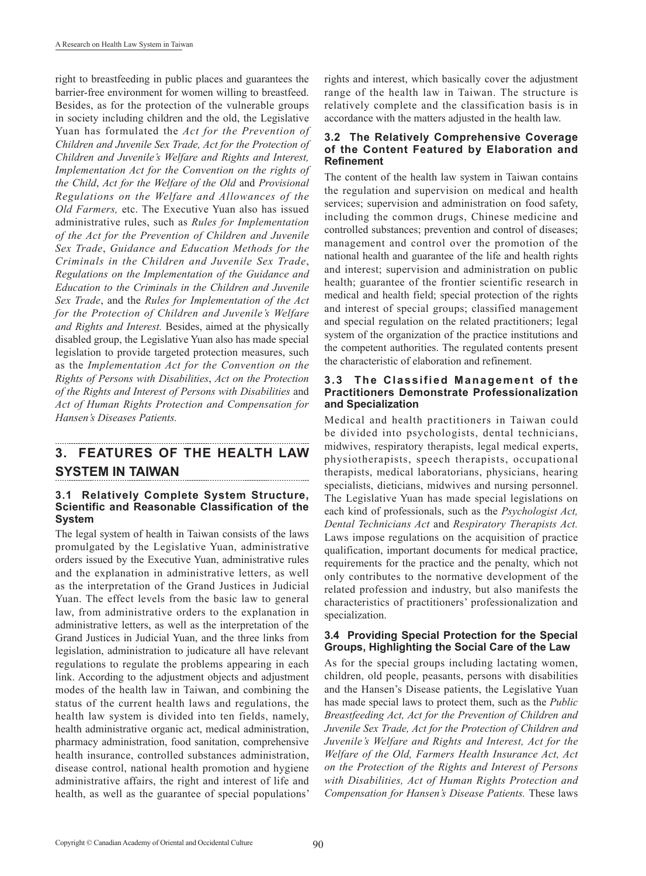right to breastfeeding in public places and guarantees the barrier-free environment for women willing to breastfeed. Besides, as for the protection of the vulnerable groups in society including children and the old, the Legislative Yuan has formulated the *Act for the Prevention of Children and Juvenile Sex Trade, Act for the Protection of Children and Juvenile's Welfare and Rights and Interest, Implementation Act for the Convention on the rights of the Child*, *Act for the Welfare of the Old* and *Provisional Regulations on the Welfare and Allowances of the Old Farmers,* etc. The Executive Yuan also has issued administrative rules, such as *Rules for Implementation of the Act for the Prevention of Children and Juvenile Sex Trade*, *Guidance and Education Methods for the Criminals in the Children and Juvenile Sex Trade*, *Regulations on the Implementation of the Guidance and Education to the Criminals in the Children and Juvenile Sex Trade*, and the *Rules for Implementation of the Act for the Protection of Children and Juvenile's Welfare and Rights and Interest.* Besides, aimed at the physically disabled group, the Legislative Yuan also has made special legislation to provide targeted protection measures, such as the *Implementation Act for the Convention on the Rights of Persons with Disabilities*, *Act on the Protection of the Rights and Interest of Persons with Disabilities* and *Act of Human Rights Protection and Compensation for Hansen's Diseases Patients.*

# **3. FEATURES OF THE HEALTH LAW SYSTEM IN TAIWAN**

#### **3.1 Relatively Complete System Structure, Scientific and Reasonable Classification of the System**

The legal system of health in Taiwan consists of the laws promulgated by the Legislative Yuan, administrative orders issued by the Executive Yuan, administrative rules and the explanation in administrative letters, as well as the interpretation of the Grand Justices in Judicial Yuan. The effect levels from the basic law to general law, from administrative orders to the explanation in administrative letters, as well as the interpretation of the Grand Justices in Judicial Yuan, and the three links from legislation, administration to judicature all have relevant regulations to regulate the problems appearing in each link. According to the adjustment objects and adjustment modes of the health law in Taiwan, and combining the status of the current health laws and regulations, the health law system is divided into ten fields, namely, health administrative organic act, medical administration, pharmacy administration, food sanitation, comprehensive health insurance, controlled substances administration, disease control, national health promotion and hygiene administrative affairs, the right and interest of life and health, as well as the guarantee of special populations' rights and interest, which basically cover the adjustment range of the health law in Taiwan. The structure is relatively complete and the classification basis is in accordance with the matters adjusted in the health law.

#### **3.2 The Relatively Comprehensive Coverage of the Content Featured by Elaboration and Refinement**

The content of the health law system in Taiwan contains the regulation and supervision on medical and health services; supervision and administration on food safety, including the common drugs, Chinese medicine and controlled substances; prevention and control of diseases; management and control over the promotion of the national health and guarantee of the life and health rights and interest; supervision and administration on public health; guarantee of the frontier scientific research in medical and health field; special protection of the rights and interest of special groups; classified management and special regulation on the related practitioners; legal system of the organization of the practice institutions and the competent authorities. The regulated contents present the characteristic of elaboration and refinement.

#### **3.3 The Classified Management of the Practitioners Demonstrate Professionalization and Specialization**

Medical and health practitioners in Taiwan could be divided into psychologists, dental technicians, midwives, respiratory therapists, legal medical experts, physiotherapists, speech therapists, occupational therapists, medical laboratorians, physicians, hearing specialists, dieticians, midwives and nursing personnel. The Legislative Yuan has made special legislations on each kind of professionals, such as the *Psychologist Act, Dental Technicians Act* and *Respiratory Therapists Act.*  Laws impose regulations on the acquisition of practice qualification, important documents for medical practice, requirements for the practice and the penalty, which not only contributes to the normative development of the related profession and industry, but also manifests the characteristics of practitioners' professionalization and specialization.

#### **3.4 Providing Special Protection for the Special Groups, Highlighting the Social Care of the Law**

As for the special groups including lactating women, children, old people, peasants, persons with disabilities and the Hansen's Disease patients, the Legislative Yuan has made special laws to protect them, such as the *Public Breastfeeding Act, Act for the Prevention of Children and Juvenile Sex Trade, Act for the Protection of Children and Juvenile's Welfare and Rights and Interest, Act for the Welfare of the Old, Farmers Health Insurance Act, Act on the Protection of the Rights and Interest of Persons with Disabilities, Act of Human Rights Protection and Compensation for Hansen's Disease Patients.* These laws